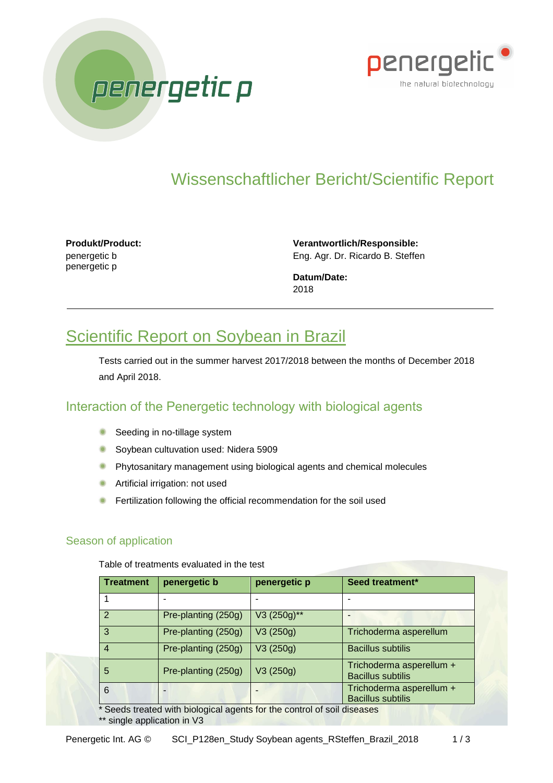



# Wissenschaftlicher Bericht/Scientific Report

**Produkt/Product:** penergetic b penergetic p

**Verantwortlich/Responsible:** Eng. Agr. Dr. Ricardo B. Steffen

**Datum/Date:** 2018

## Scientific Report on Soybean in Brazil

Tests carried out in the summer harvest 2017/2018 between the months of December 2018 and April 2018.

### Interaction of the Penergetic technology with biological agents

- **Seeding in no-tillage system**
- **Soybean cultuvation used: Nidera 5909**
- $\bullet$ Phytosanitary management using biological agents and chemical molecules
- **Artificial irrigation: not used**
- **•** Fertilization following the official recommendation for the soil used

#### Season of application

Table of treatments evaluated in the test

| <b>Treatment</b> | penergetic b        | penergetic p | Seed treatment*                                      |  |
|------------------|---------------------|--------------|------------------------------------------------------|--|
|                  |                     |              |                                                      |  |
| 2                | Pre-planting (250g) | V3 (250g)**  |                                                      |  |
| 3                | Pre-planting (250g) | V3(250g)     | Trichoderma asperellum                               |  |
| $\overline{4}$   | Pre-planting (250g) | V3(250g)     | <b>Bacillus subtilis</b>                             |  |
| 5                | Pre-planting (250g) | V3(250g)     | Trichoderma asperellum +<br><b>Bacillus subtilis</b> |  |
| 6                |                     |              | Trichoderma asperellum +<br><b>Bacillus subtilis</b> |  |

\* Seeds treated with biological agents for the control of soil diseases \*\* single application in V3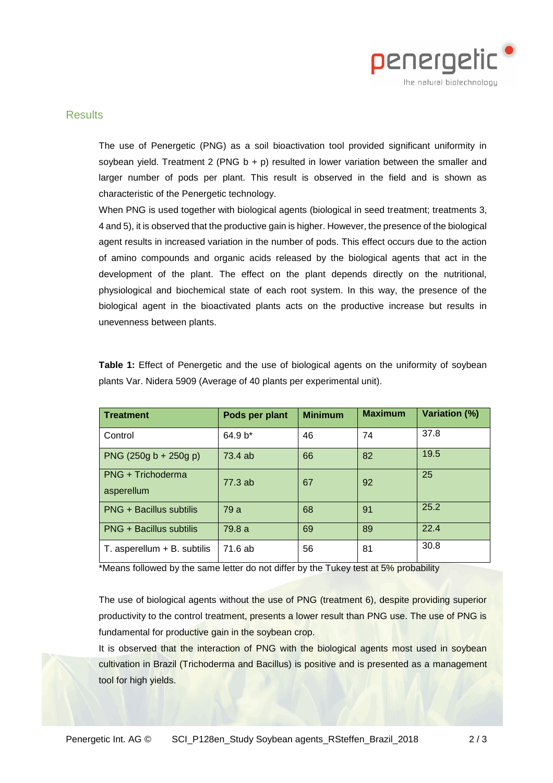

#### **Results**

The use of Penergetic (PNG) as a soil bioactivation tool provided significant uniformity in soybean yield. Treatment 2 (PNG  $b + p$ ) resulted in lower variation between the smaller and larger number of pods per plant. This result is observed in the field and is shown as characteristic of the Penergetic technology.

When PNG is used together with biological agents (biological in seed treatment; treatments 3, 4 and 5), it is observed that the productive gain is higher. However, the presence of the biological agent results in increased variation in the number of pods. This effect occurs due to the action of amino compounds and organic acids released by the biological agents that act in the development of the plant. The effect on the plant depends directly on the nutritional, physiological and biochemical state of each root system. In this way, the presence of the biological agent in the bioactivated plants acts on the productive increase but results in unevenness between plants.

| <b>Treatment</b>                | Pods per plant | <b>Minimum</b> | <b>Maximum</b> | <b>Variation (%)</b> |
|---------------------------------|----------------|----------------|----------------|----------------------|
| Control                         | $64.9 b*$      | 46             | 74             | 37.8                 |
| PNG $(250g b + 250g p)$         | 73.4 ab        | 66             | 82             | 19.5                 |
| PNG + Trichoderma<br>asperellum | 77.3ab         | 67             | 92             | 25                   |
| <b>PNG + Bacillus subtilis</b>  | 79 a           | 68             | 91             | 25.2                 |
| <b>PNG + Bacillus subtilis</b>  | 79.8 a         | 69             | 89             | 22.4                 |
| $T.$ asperellum $+ B.$ subtilis | 71.6 ab        | 56             | 81             | 30.8                 |

**Table 1:** Effect of Penergetic and the use of biological agents on the uniformity of soybean plants Var. Nidera 5909 (Average of 40 plants per experimental unit).

\*Means followed by the same letter do not differ by the Tukey test at 5% probability

The use of biological agents without the use of PNG (treatment 6), despite providing superior productivity to the control treatment, presents a lower result than PNG use. The use of PNG is fundamental for productive gain in the soybean crop.

It is observed that the interaction of PNG with the biological agents most used in soybean cultivation in Brazil (Trichoderma and Bacillus) is positive and is presented as a management tool for high yields.